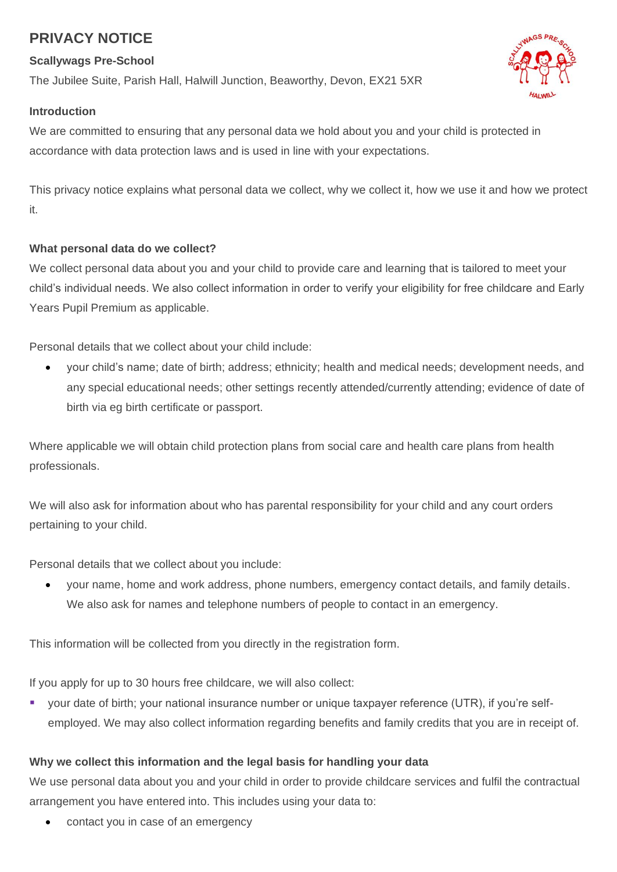# **PRIVACY NOTICE**

# **Scallywags Pre-School**

The Jubilee Suite, Parish Hall, Halwill Junction, Beaworthy, Devon, EX21 5XR

# **Introduction**

We are committed to ensuring that any personal data we hold about you and your child is protected in accordance with data protection laws and is used in line with your expectations.

This privacy notice explains what personal data we collect, why we collect it, how we use it and how we protect it.

# **What personal data do we collect?**

We collect personal data about you and your child to provide care and learning that is tailored to meet your child's individual needs. We also collect information in order to verify your eligibility for free childcare and Early Years Pupil Premium as applicable.

Personal details that we collect about your child include:

• your child's name; date of birth; address; ethnicity; health and medical needs; development needs, and any special educational needs; other settings recently attended/currently attending; evidence of date of birth via eg birth certificate or passport.

Where applicable we will obtain child protection plans from social care and health care plans from health professionals.

We will also ask for information about who has parental responsibility for your child and any court orders pertaining to your child.

Personal details that we collect about you include:

• your name, home and work address, phone numbers, emergency contact details, and family details. We also ask for names and telephone numbers of people to contact in an emergency.

This information will be collected from you directly in the registration form.

If you apply for up to 30 hours free childcare, we will also collect:

your date of birth; your national insurance number or unique taxpayer reference (UTR), if you're selfemployed. We may also collect information regarding benefits and family credits that you are in receipt of.

#### **Why we collect this information and the legal basis for handling your data**

We use personal data about you and your child in order to provide childcare services and fulfil the contractual arrangement you have entered into. This includes using your data to:

• contact you in case of an emergency

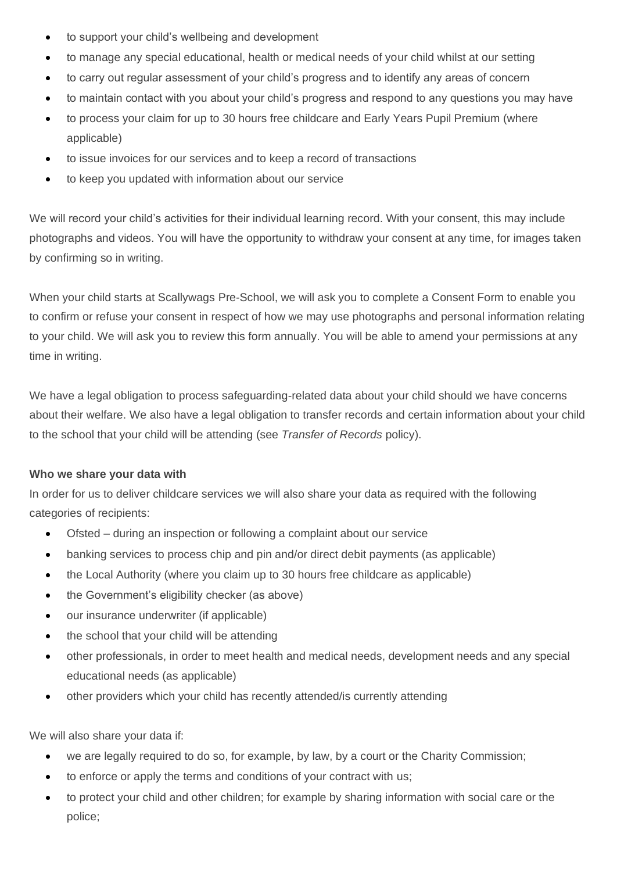- to support your child's wellbeing and development
- to manage any special educational, health or medical needs of your child whilst at our setting
- to carry out regular assessment of your child's progress and to identify any areas of concern
- to maintain contact with you about your child's progress and respond to any questions you may have
- to process your claim for up to 30 hours free childcare and Early Years Pupil Premium (where applicable)
- to issue invoices for our services and to keep a record of transactions
- to keep you updated with information about our service

We will record your child's activities for their individual learning record. With your consent, this may include photographs and videos. You will have the opportunity to withdraw your consent at any time, for images taken by confirming so in writing.

When your child starts at Scallywags Pre-School, we will ask you to complete a Consent Form to enable you to confirm or refuse your consent in respect of how we may use photographs and personal information relating to your child. We will ask you to review this form annually. You will be able to amend your permissions at any time in writing.

We have a legal obligation to process safeguarding-related data about your child should we have concerns about their welfare. We also have a legal obligation to transfer records and certain information about your child to the school that your child will be attending (see *Transfer of Records* policy).

# **Who we share your data with**

In order for us to deliver childcare services we will also share your data as required with the following categories of recipients:

- Ofsted during an inspection or following a complaint about our service
- banking services to process chip and pin and/or direct debit payments (as applicable)
- the Local Authority (where you claim up to 30 hours free childcare as applicable)
- the Government's eligibility checker (as above)
- our insurance underwriter (if applicable)
- the school that your child will be attending
- other professionals, in order to meet health and medical needs, development needs and any special educational needs (as applicable)
- other providers which your child has recently attended/is currently attending

We will also share your data if:

- we are legally required to do so, for example, by law, by a court or the Charity Commission;
- to enforce or apply the terms and conditions of your contract with us;
- to protect your child and other children; for example by sharing information with social care or the police;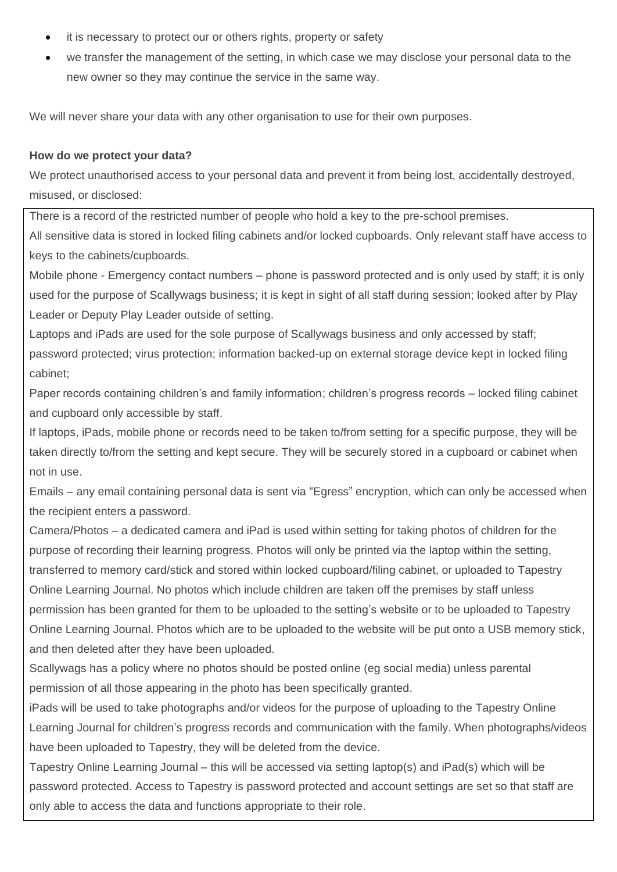- it is necessary to protect our or others rights, property or safety
- we transfer the management of the setting, in which case we may disclose your personal data to the new owner so they may continue the service in the same way.

We will never share your data with any other organisation to use for their own purposes.

#### **How do we protect your data?**

We protect unauthorised access to your personal data and prevent it from being lost, accidentally destroyed, misused, or disclosed:

There is a record of the restricted number of people who hold a key to the pre-school premises.

All sensitive data is stored in locked filing cabinets and/or locked cupboards. Only relevant staff have access to keys to the cabinets/cupboards.

Mobile phone - Emergency contact numbers – phone is password protected and is only used by staff; it is only used for the purpose of Scallywags business; it is kept in sight of all staff during session; looked after by Play Leader or Deputy Play Leader outside of setting.

Laptops and iPads are used for the sole purpose of Scallywags business and only accessed by staff; password protected; virus protection; information backed-up on external storage device kept in locked filing cabinet;

Paper records containing children's and family information; children's progress records – locked filing cabinet and cupboard only accessible by staff.

If laptops, iPads, mobile phone or records need to be taken to/from setting for a specific purpose, they will be taken directly to/from the setting and kept secure. They will be securely stored in a cupboard or cabinet when not in use.

Emails – any email containing personal data is sent via "Egress" encryption, which can only be accessed when the recipient enters a password.

Camera/Photos – a dedicated camera and iPad is used within setting for taking photos of children for the purpose of recording their learning progress. Photos will only be printed via the laptop within the setting, transferred to memory card/stick and stored within locked cupboard/filing cabinet, or uploaded to Tapestry Online Learning Journal. No photos which include children are taken off the premises by staff unless permission has been granted for them to be uploaded to the setting's website or to be uploaded to Tapestry Online Learning Journal. Photos which are to be uploaded to the website will be put onto a USB memory stick, and then deleted after they have been uploaded.

Scallywags has a policy where no photos should be posted online (eg social media) unless parental permission of all those appearing in the photo has been specifically granted.

iPads will be used to take photographs and/or videos for the purpose of uploading to the Tapestry Online Learning Journal for children's progress records and communication with the family. When photographs/videos have been uploaded to Tapestry, they will be deleted from the device.

Tapestry Online Learning Journal – this will be accessed via setting laptop(s) and iPad(s) which will be password protected. Access to Tapestry is password protected and account settings are set so that staff are only able to access the data and functions appropriate to their role.